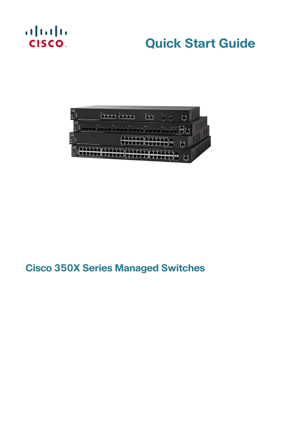# $\begin{tabular}{c} \bf . \end{tabular}$ **CISCO**

# **Quick Start Guide**



# **Cisco 350X Series Managed Switches**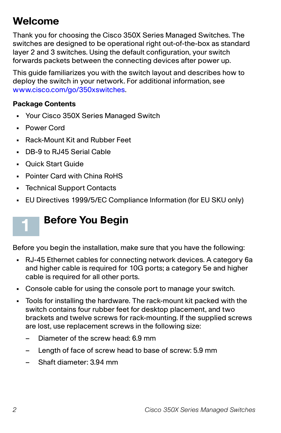# **Welcome**

Thank you for choosing the Cisco 350X Series Managed Switches. The switches are designed to be operational right out-of-the-box as standard layer 2 and 3 switches. Using the default configuration, your switch forwards packets between the connecting devices after power up.

This guide familiarizes you with the switch layout and describes how to deploy the switch in your network. For additional information, see [www.cisco.com/go/350xswitches](http://www.cisco.com/go/350xswitches).

#### **Package Contents**

- **•** Your Cisco 350X Series Managed Switch
- **•** Power Cord

**1**

- **•** Rack-Mount Kit and Rubber Feet
- **•** DB-9 to RJ45 Serial Cable
- **•** Quick Start Guide
- **•** Pointer Card with China RoHS
- **•** Technical Support Contacts
- **•** EU Directives 1999/5/EC Compliance Information (for EU SKU only)

# **Before You Begin**

Before you begin the installation, make sure that you have the following:

- **•** RJ-45 Ethernet cables for connecting network devices. A category 6a and higher cable is required for 10G ports; a category 5e and higher cable is required for all other ports.
- **•** Console cable for using the console port to manage your switch.
- **•** Tools for installing the hardware. The rack-mount kit packed with the switch contains four rubber feet for desktop placement, and two brackets and twelve screws for rack-mounting. If the supplied screws are lost, use replacement screws in the following size:
	- Diameter of the screw head: 6.9 mm
	- Length of face of screw head to base of screw: 5.9 mm
	- Shaft diameter: 3.94 mm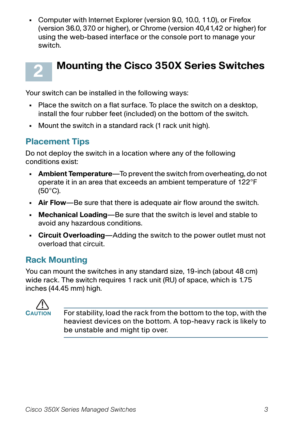**•** Computer with Internet Explorer (version 9.0, 10.0, 11.0), or Firefox (version 36.0, 37.0 or higher), or Chrome (version 40,41,42 or higher) for using the web-based interface or the console port to manage your switch.



# **Mounting the Cisco 350X Series Switches**

Your switch can be installed in the following ways:

- **•** Place the switch on a flat surface. To place the switch on a desktop, install the four rubber feet (included) on the bottom of the switch.
- **•** Mount the switch in a standard rack (1 rack unit high).

## **Placement Tips**

Do not deploy the switch in a location where any of the following conditions exist:

- **Ambient Temperature**—To prevent the switch from overheating, do not operate it in an area that exceeds an ambient temperature of 122°F (50°C).
- **Air Flow**—Be sure that there is adequate air flow around the switch.
- **Mechanical Loading**—Be sure that the switch is level and stable to avoid any hazardous conditions.
- **Circuit Overloading**—Adding the switch to the power outlet must not overload that circuit.

# **Rack Mounting**

You can mount the switches in any standard size, 19-inch (about 48 cm) wide rack. The switch requires 1 rack unit (RU) of space, which is 1.75 inches (44.45 mm) high.



For stability, load the rack from the bottom to the top, with the heaviest devices on the bottom. A top-heavy rack is likely to be unstable and might tip over.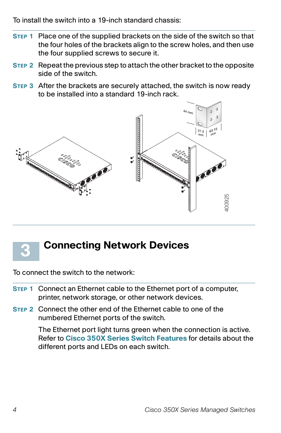To install the switch into a 19-inch standard chassis:

- **STEP 1** Place one of the supplied brackets on the side of the switch so that the four holes of the brackets align to the screw holes, and then use the four supplied screws to secure it.
- **STEP 2** Repeat the previous step to attach the other bracket to the opposite side of the switch.
- **STEP 3** After the brackets are securely attached, the switch is now ready to be installed into a standard 19-inch rack.





# **Connecting Network Devices**

To connect the switch to the network:

- **STEP 1** Connect an Ethernet cable to the Ethernet port of a computer, printer, network storage, or other network devices.
- **STEP 2** Connect the other end of the Ethernet cable to one of the numbered Ethernet ports of the switch.

The Ethernet port light turns green when the connection is active. Refer to **[Cisco 350X Series Switch Features](#page-10-0)** for details about the different ports and LEDs on each switch.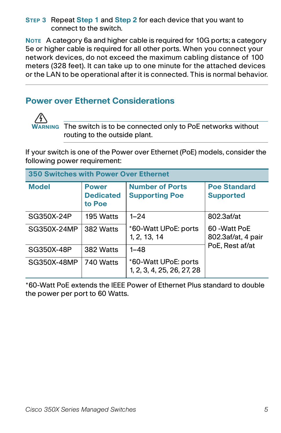#### **STEP 3** Repeat **Step 1** and **Step 2** for each device that you want to connect to the switch.

**NOTE** A category 6a and higher cable is required for 10G ports; a category 5e or higher cable is required for all other ports. When you connect your network devices, do not exceed the maximum cabling distance of 100 meters (328 feet). It can take up to one minute for the attached devices or the LAN to be operational after it is connected. This is normal behavior.

## **Power over Ethernet Considerations**



**WARNING** The switch is to be connected only to PoE networks without routing to the outside plant.

If your switch is one of the Power over Ethernet (PoE) models, consider the following power requirement:

| <b>350 Switches with Power Over Ethernet</b> |                                            |                                                    |                                         |
|----------------------------------------------|--------------------------------------------|----------------------------------------------------|-----------------------------------------|
| <b>Model</b>                                 | <b>Power</b><br><b>Dedicated</b><br>to Poe | <b>Number of Ports</b><br><b>Supporting Poe</b>    | <b>Poe Standard</b><br><b>Supported</b> |
| SG350X-24P                                   | 195 Watts                                  | $1 - 24$                                           | 802.3af/at                              |
| SG350X-24MP                                  | 382 Watts                                  | *60-Watt UPoE: ports<br>1, 2, 13, 14               | 60 - Watt PoE<br>802.3af/at, 4 pair     |
| SG350X-48P                                   | 382 Watts                                  | $1 - 48$                                           | PoE, Rest af/at                         |
| SG350X-48MP                                  | 740 Watts                                  | *60-Watt UPoE: ports<br>1, 2, 3, 4, 25, 26, 27, 28 |                                         |

\*60-Watt PoE extends the IEEE Power of Ethernet Plus standard to double the power per port to 60 Watts.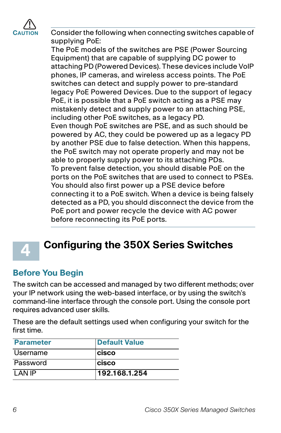

Consider the following when connecting switches capable of supplying PoE:

The PoE models of the switches are PSE (Power Sourcing Equipment) that are capable of supplying DC power to attaching PD (Powered Devices). These devices include VoIP phones, IP cameras, and wireless access points. The PoE switches can detect and supply power to pre-standard legacy PoE Powered Devices. Due to the support of legacy PoE, it is possible that a PoE switch acting as a PSE may mistakenly detect and supply power to an attaching PSE, including other PoE switches, as a legacy PD. Even though PoE switches are PSE, and as such should be powered by AC, they could be powered up as a legacy PD by another PSE due to false detection. When this happens, the PoE switch may not operate properly and may not be able to properly supply power to its attaching PDs. To prevent false detection, you should disable PoE on the ports on the PoE switches that are used to connect to PSEs. You should also first power up a PSE device before connecting it to a PoE switch. When a device is being falsely detected as a PD, you should disconnect the device from the PoE port and power recycle the device with AC power before reconnecting its PoE ports.



# **Configuring the 350X Series Switches**

### **Before You Begin**

The switch can be accessed and managed by two different methods; over your IP network using the web-based interface, or by using the switch's command-line interface through the console port. Using the console port requires advanced user skills.

These are the default settings used when configuring your switch for the first time.

| <b>Parameter</b> | <b>Default Value</b> |
|------------------|----------------------|
| Username         | <b>Icisco</b>        |
| Password         | <b>cisco</b>         |
| I AN IP          | 192.168.1.254        |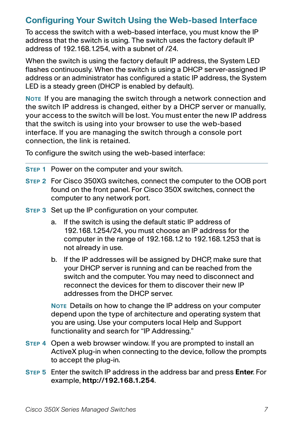## **Configuring Your Switch Using the Web-based Interface**

To access the switch with a web-based interface, you must know the IP address that the switch is using. The switch uses the factory default IP address of 192.168.1.254, with a subnet of /24.

When the switch is using the factory default IP address, the System LED flashes continuously. When the switch is using a DHCP server-assigned IP address or an administrator has configured a static IP address, the System LED is a steady green (DHCP is enabled by default).

**NOTE** If you are managing the switch through a network connection and the switch IP address is changed, either by a DHCP server or manually, your access to the switch will be lost. You must enter the new IP address that the switch is using into your browser to use the web-based interface. If you are managing the switch through a console port connection, the link is retained.

To configure the switch using the web-based interface:

- **STEP 1** Power on the computer and your switch.
- **STEP 2** For Cisco 350XG switches, connect the computer to the OOB port found on the front panel. For Cisco 350X switches, connect the computer to any network port.
- **STEP 3** Set up the IP configuration on your computer.
	- a. If the switch is using the default static IP address of 192.168.1.254/24, you must choose an IP address for the computer in the range of 192.168.1.2 to 192.168.1.253 that is not already in use.
	- b. If the IP addresses will be assigned by DHCP, make sure that your DHCP server is running and can be reached from the switch and the computer. You may need to disconnect and reconnect the devices for them to discover their new IP addresses from the DHCP server.

**NOTE** Details on how to change the IP address on your computer depend upon the type of architecture and operating system that you are using. Use your computers local Help and Support functionality and search for "IP Addressing."

- **STEP 4** Open a web browser window. If you are prompted to install an ActiveX plug-in when connecting to the device, follow the prompts to accept the plug-in.
- **STEP 5** Enter the switch IP address in the address bar and press **Enter**. For example, **http://192.168.1.254**.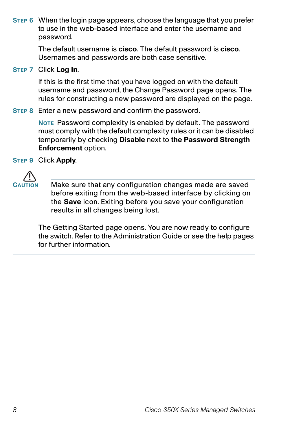**STEP 6** When the login page appears, choose the language that you prefer to use in the web-based interface and enter the username and password.

> The default username is **cisco**. The default password is **cisco**. Usernames and passwords are both case sensitive.

#### **STEP 7** Click **Log In**.

If this is the first time that you have logged on with the default username and password, the Change Password page opens. The rules for constructing a new password are displayed on the page.

#### **STEP 8** Enter a new password and confirm the password.

**NOTE** Password complexity is enabled by default. The password must comply with the default complexity rules or it can be disabled temporarily by checking **Disable** next to **the Password Strength Enforcement** option.

**STEP 9** Click **Apply**.



Make sure that any configuration changes made are saved before exiting from the web-based interface by clicking on the **Save** icon. Exiting before you save your configuration results in all changes being lost.

The Getting Started page opens. You are now ready to configure the switch. Refer to the Administration Guide or see the help pages for further information.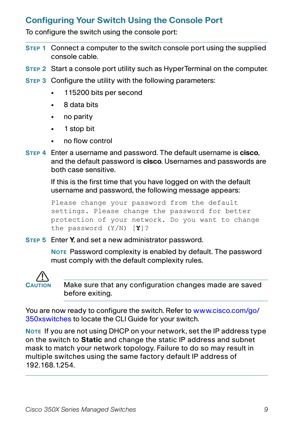## **Configuring Your Switch Using the Console Port**

To configure the switch using the console port:

- **STEP 1** Connect a computer to the switch console port using the supplied console cable.
- **STEP 2** Start a console port utility such as HyperTerminal on the computer.
- **STEP 3** Configure the utility with the following parameters:
	- **•** 115200 bits per second
	- **•** 8 data bits
	- **•** no parity
	- **•** 1 stop bit
	- **•** no flow control
- **STEP 4** Enter a username and password. The default username is **cisco**, and the default password is **cisco**. Usernames and passwords are both case sensitive.

If this is the first time that you have logged on with the default username and password, the following message appears:

```
Please change your password from the default 
settings. Please change the password for better 
protection of your network. Do you want to change 
the password (Y/N) [Y]?
```
**STEP 5** Enter **Y**, and set a new administrator password.

**NOTE** Password complexity is enabled by default. The password must comply with the default complexity rules.



Make sure that any configuration changes made are saved before exiting.

You are now ready to configure the switch. Refer to [www.cisco.com/go/](http://www.cisco.com/go/350xswitches) [350xswitches](http://www.cisco.com/go/350xswitches) to locate the CLI Guide for your switch.

**NOTE** If you are not using DHCP on your network, set the IP address type on the switch to **Static** and change the static IP address and subnet mask to match your network topology. Failure to do so may result in multiple switches using the same factory default IP address of 192.168.1.254.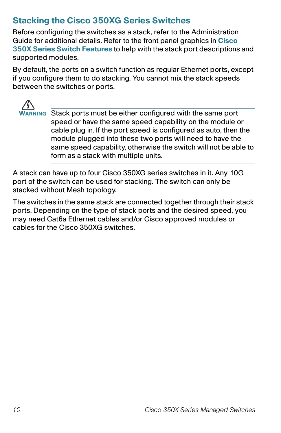## **Stacking the Cisco 350XG Series Switches**

Before configuring the switches as a stack, refer to the Administration Guide for additional details. Refer to the front panel graphics in **[Cisco](#page-10-0)  [350X Series Switch Features](#page-10-0)** to help with the stack port descriptions and supported modules.

By default, the ports on a switch function as regular Ethernet ports, except if you configure them to do stacking. You cannot mix the stack speeds between the switches or ports.



**WARNING** Stack ports must be either configured with the same port speed or have the same speed capability on the module or cable plug in. If the port speed is configured as auto, then the module plugged into these two ports will need to have the same speed capability, otherwise the switch will not be able to form as a stack with multiple units.

A stack can have up to four Cisco 350XG series switches in it. Any 10G port of the switch can be used for stacking. The switch can only be stacked without Mesh topology.

The switches in the same stack are connected together through their stack ports. Depending on the type of stack ports and the desired speed, you may need Cat6a Ethernet cables and/or Cisco approved modules or cables for the Cisco 350XG switches.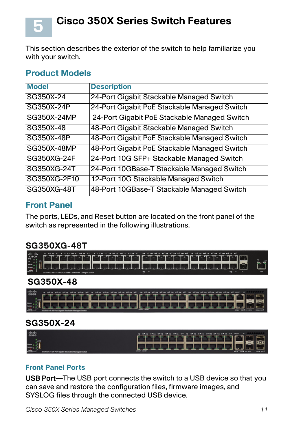**Cisco 350X Series Switch Features**

This section describes the exterior of the switch to help familiarize you with your switch.

#### **Product Models**

<span id="page-10-0"></span>**5**

| <b>Model</b> | <b>Description</b>                           |
|--------------|----------------------------------------------|
| SG350X-24    | 24-Port Gigabit Stackable Managed Switch     |
| SG350X-24P   | 24-Port Gigabit PoE Stackable Managed Switch |
| SG350X-24MP  | 24-Port Gigabit PoE Stackable Managed Switch |
| SG350X-48    | 48-Port Gigabit Stackable Managed Switch     |
| SG350X-48P   | 48-Port Gigabit PoE Stackable Managed Switch |
| SG350X-48MP  | 48-Port Gigabit PoE Stackable Managed Switch |
| SG350XG-24F  | 24-Port 10G SFP+ Stackable Managed Switch    |
| SG350XG-24T  | 24-Port 10GBase-T Stackable Managed Switch   |
| SG350XG-2F10 | 12-Port 10G Stackable Managed Switch         |
| SG350XG-48T  | 48-Port 10GBase-T Stackable Managed Switch   |

#### **Front Panel**

The ports, LEDs, and Reset button are located on the front panel of the switch as represented in the following illustrations.

#### **SG350XG-48T**



#### **SG350X-48**

| <b>CINC</b> | to after after the after after after the after after after after after after after after after after after after after after after after |                                     |
|-------------|------------------------------------------------------------------------------------------------------------------------------------------|-------------------------------------|
|             |                                                                                                                                          |                                     |
|             |                                                                                                                                          | <u> SICH ACHTER (THE CHELLER SB</u> |
|             |                                                                                                                                          |                                     |

#### **SG350X-24**

| abab.<br>Cisco | IS NOTES INTO A REAL INTER INTER INT IS INTER STAR STAR STAR STAR INTIME AT INCOME. IN |
|----------------|----------------------------------------------------------------------------------------|
|                | THE REPORT OF STREET                                                                   |
|                |                                                                                        |
|                | <b>MAIL SIME</b><br>$100.4$ $-100.7$ $-100.6$                                          |

#### **Front Panel Ports**

USB Port—The USB port connects the switch to a USB device so that you can save and restore the configuration files, firmware images, and SYSLOG files through the connected USB device.

Cisco 350X Series Managed Switches 11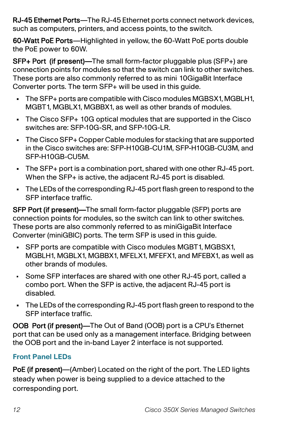RJ-45 Ethernet Ports—The RJ-45 Ethernet ports connect network devices, such as computers, printers, and access points, to the switch.

60-Watt PoE Ports—Highlighted in yellow, the 60-Watt PoE ports double the PoE power to 60W.

SFP+ Port (if present)—The small form-factor pluggable plus (SFP+) are connection points for modules so that the switch can link to other switches. These ports are also commonly referred to as mini 10GigaBit Interface Converter ports. The term SFP+ will be used in this guide.

- **•** The SFP+ ports are compatible with Cisco modules MGBSX1, MGBLH1, MGBT1, MGBLX1, MGBBX1, as well as other brands of modules.
- **•** The Cisco SFP+ 10G optical modules that are supported in the Cisco switches are: SFP-10G-SR, and SFP-10G-LR.
- **•** The Cisco SFP+ Copper Cable modules for stacking that are supported in the Cisco switches are: SFP-H10GB-CU1M, SFP-H10GB-CU3M, and SFP-H10GB-CU5M.
- **•** The SFP+ port is a combination port, shared with one other RJ-45 port. When the SFP+ is active, the adjacent RJ-45 port is disabled.
- **•** The LEDs of the corresponding RJ-45 port flash green to respond to the SFP interface traffic.

SFP Port (if present)—The small form-factor pluggable (SFP) ports are connection points for modules, so the switch can link to other switches. These ports are also commonly referred to as miniGigaBit Interface Converter (miniGBIC) ports. The term SFP is used in this guide.

- **•** SFP ports are compatible with Cisco modules MGBT1, MGBSX1, MGBLH1, MGBLX1, MGBBX1, MFELX1, MFEFX1, and MFEBX1, as well as other brands of modules.
- Some SFP interfaces are shared with one other RJ-45 port, called a combo port. When the SFP is active, the adjacent RJ-45 port is disabled.
- **•** The LEDs of the corresponding RJ-45 port flash green to respond to the SFP interface traffic.

OOB Port (if present)—The Out of Band (OOB) port is a CPU's Ethernet port that can be used only as a management interface. Bridging between the OOB port and the in-band Layer 2 interface is not supported.

#### **Front Panel LEDs**

PoE (if present)—(Amber) Located on the right of the port. The LED lights steady when power is being supplied to a device attached to the corresponding port.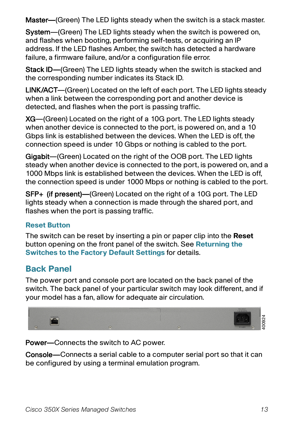Master—(Green) The LED lights steady when the switch is a stack master.

System—(Green) The LED lights steady when the switch is powered on, and flashes when booting, performing self-tests, or acquiring an IP address. If the LED flashes Amber, the switch has detected a hardware failure, a firmware failure, and/or a configuration file error.

Stack ID—(Green) The LED lights steady when the switch is stacked and the corresponding number indicates its Stack ID.

LINK/ACT—(Green) Located on the left of each port. The LED lights steady when a link between the corresponding port and another device is detected, and flashes when the port is passing traffic.

XG—(Green) Located on the right of a 10G port. The LED lights steady when another device is connected to the port, is powered on, and a 10 Gbps link is established between the devices. When the LED is off, the connection speed is under 10 Gbps or nothing is cabled to the port.

Gigabit—(Green) Located on the right of the OOB port. The LED lights steady when another device is connected to the port, is powered on, and a 1000 Mbps link is established between the devices. When the LED is off, the connection speed is under 1000 Mbps or nothing is cabled to the port.

SFP+ (if present)—(Green) Located on the right of a 10G port. The LED lights steady when a connection is made through the shared port, and flashes when the port is passing traffic.

#### **Reset Button**

The switch can be reset by inserting a pin or paper clip into the **Reset** button opening on the front panel of the switch. See **[Returning the](#page-13-0)  [Switches to the Factory Default Settings](#page-13-0)** for details.

## **Back Panel**

The power port and console port are located on the back panel of the switch. The back panel of your particular switch may look different, and if your model has a fan, allow for adequate air circulation.



Power—Connects the switch to AC power.

Console—Connects a serial cable to a computer serial port so that it can be configured by using a terminal emulation program.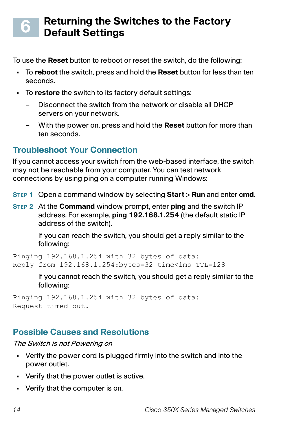#### <span id="page-13-0"></span>**Returning the Switches to the Factory Default Settings 6**

To use the **Reset** button to reboot or reset the switch, do the following:

- **•** To **reboot** the switch, press and hold the **Reset** button for less than ten seconds.
- **•** To **restore** the switch to its factory default settings:
	- Disconnect the switch from the network or disable all DHCP servers on your network.
	- With the power on, press and hold the **Reset** button for more than ten seconds.

# **Troubleshoot Your Connection**

If you cannot access your switch from the web-based interface, the switch may not be reachable from your computer. You can test network connections by using ping on a computer running Windows:

- **STEP 1** Open a command window by selecting **Start** > **Run** and enter **cmd**.
- **STEP 2** At the **Command** window prompt, enter **ping** and the switch IP address. For example, **ping 192.168.1.254** (the default static IP address of the switch).

If you can reach the switch, you should get a reply similar to the following:

Pinging 192.168.1.254 with 32 bytes of data: Reply from 192.168.1.254:bytes=32 time<1ms TTL=128

> If you cannot reach the switch, you should get a reply similar to the following:

Pinging 192.168.1.254 with 32 bytes of data: Request timed out.

## **Possible Causes and Resolutions**

The Switch is not Powering on

- **•** Verify the power cord is plugged firmly into the switch and into the power outlet.
- **•** Verify that the power outlet is active.
- **•** Verify that the computer is on.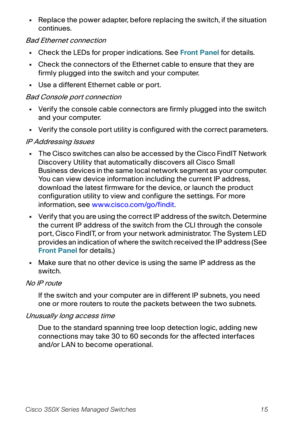**•** Replace the power adapter, before replacing the switch, if the situation continues.

#### Bad Ethernet connection

- **•** Check the LEDs for proper indications. See **Front Panel** for details.
- **•** Check the connectors of the Ethernet cable to ensure that they are firmly plugged into the switch and your computer.
- **•** Use a different Ethernet cable or port.

#### Bad Console port connection

- **•** Verify the console cable connectors are firmly plugged into the switch and your computer.
- **•** Verify the console port utility is configured with the correct parameters.

#### IP Addressing Issues

- **•** The Cisco switches can also be accessed by the Cisco FindIT Network Discovery Utility that automatically discovers all Cisco Small Business devices in the same local network segment as your computer. You can view device information including the current IP address, download the latest firmware for the device, or launch the product configuration utility to view and configure the settings. For more information, see [www.cisco.com/go/findit.](http://www.cisco.com/go/findit)
- **•** Verify that you are using the correct IP address of the switch. Determine the current IP address of the switch from the CLI through the console port, Cisco FindIT, or from your network administrator. The System LED provides an indication of where the switch received the IP address (See **Front Panel** for details.)
- **•** Make sure that no other device is using the same IP address as the switch.

#### No IP route

If the switch and your computer are in different IP subnets, you need one or more routers to route the packets between the two subnets.

#### Unusually long access time

Due to the standard spanning tree loop detection logic, adding new connections may take 30 to 60 seconds for the affected interfaces and/or LAN to become operational.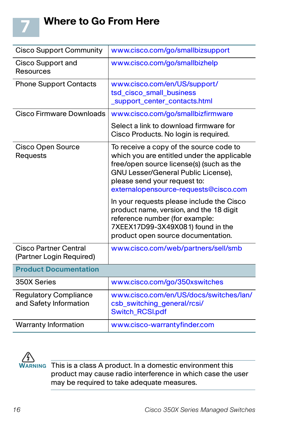

| <b>Cisco Support Community</b>                           | www.cisco.com/go/smallbizsupport                                                                                                                                                                                                                   |
|----------------------------------------------------------|----------------------------------------------------------------------------------------------------------------------------------------------------------------------------------------------------------------------------------------------------|
| <b>Cisco Support and</b><br><b>Resources</b>             | www.cisco.com/go/smallbizhelp                                                                                                                                                                                                                      |
| <b>Phone Support Contacts</b>                            | www.cisco.com/en/US/support/<br>tsd_cisco_small_business<br>_support_center_contacts.html                                                                                                                                                          |
| Cisco Firmware Downloads                                 | www.cisco.com/go/smallbizfirmware                                                                                                                                                                                                                  |
|                                                          | Select a link to download firmware for<br>Cisco Products. No login is required.                                                                                                                                                                    |
| <b>Cisco Open Source</b><br>Requests                     | To receive a copy of the source code to<br>which you are entitled under the applicable<br>free/open source license(s) (such as the<br>GNU Lesser/General Public License),<br>please send your request to:<br>externalopensource-requests@cisco.com |
|                                                          | In your requests please include the Cisco<br>product name, version, and the 18 digit<br>reference number (for example:<br>7XEEX17D99-3X49X081) found in the<br>product open source documentation.                                                  |
| <b>Cisco Partner Central</b><br>(Partner Login Required) | www.cisco.com/web/partners/sell/smb                                                                                                                                                                                                                |
| <b>Product Documentation</b>                             |                                                                                                                                                                                                                                                    |
| 350X Series                                              | www.cisco.com/go/350xswitches                                                                                                                                                                                                                      |
| <b>Regulatory Compliance</b><br>and Safety Information   | www.cisco.com/en/US/docs/switches/lan/<br>csb_switching_general/rcsi/<br><b>Switch_RCSI.pdf</b>                                                                                                                                                    |
| <b>Warranty Information</b>                              | www.cisco-warrantyfinder.com                                                                                                                                                                                                                       |



**WARNING** This is a class A product. In a domestic environment this product may cause radio interference in which case the user may be required to take adequate measures.